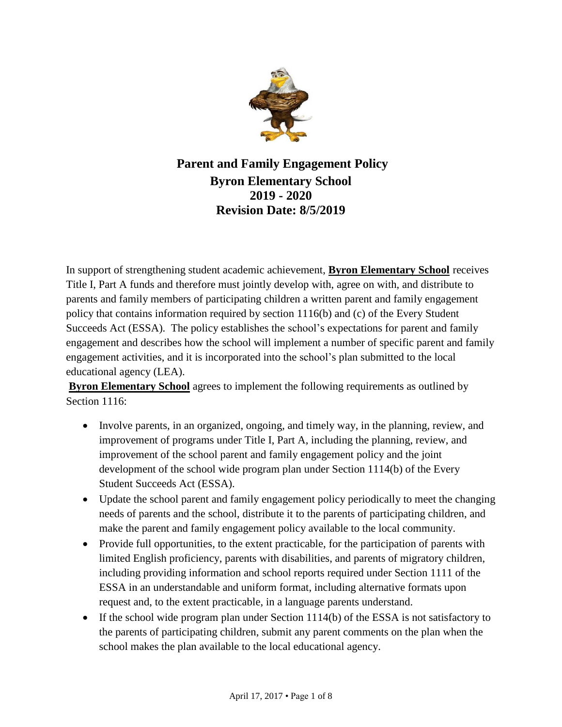

**Parent and Family Engagement Policy Byron Elementary School 2019 - 2020 Revision Date: 8/5/2019**

In support of strengthening student academic achievement, **Byron Elementary School** receives Title I, Part A funds and therefore must jointly develop with, agree on with, and distribute to parents and family members of participating children a written parent and family engagement policy that contains information required by section 1116(b) and (c) of the Every Student Succeeds Act (ESSA). The policy establishes the school's expectations for parent and family engagement and describes how the school will implement a number of specific parent and family engagement activities, and it is incorporated into the school's plan submitted to the local educational agency (LEA).

**Byron Elementary School** agrees to implement the following requirements as outlined by Section 1116:

- Involve parents, in an organized, ongoing, and timely way, in the planning, review, and improvement of programs under Title I, Part A, including the planning, review, and improvement of the school parent and family engagement policy and the joint development of the school wide program plan under Section 1114(b) of the Every Student Succeeds Act (ESSA).
- Update the school parent and family engagement policy periodically to meet the changing needs of parents and the school, distribute it to the parents of participating children, and make the parent and family engagement policy available to the local community.
- Provide full opportunities, to the extent practicable, for the participation of parents with limited English proficiency, parents with disabilities, and parents of migratory children, including providing information and school reports required under Section 1111 of the ESSA in an understandable and uniform format, including alternative formats upon request and, to the extent practicable, in a language parents understand.
- If the school wide program plan under Section  $1114(b)$  of the ESSA is not satisfactory to the parents of participating children, submit any parent comments on the plan when the school makes the plan available to the local educational agency.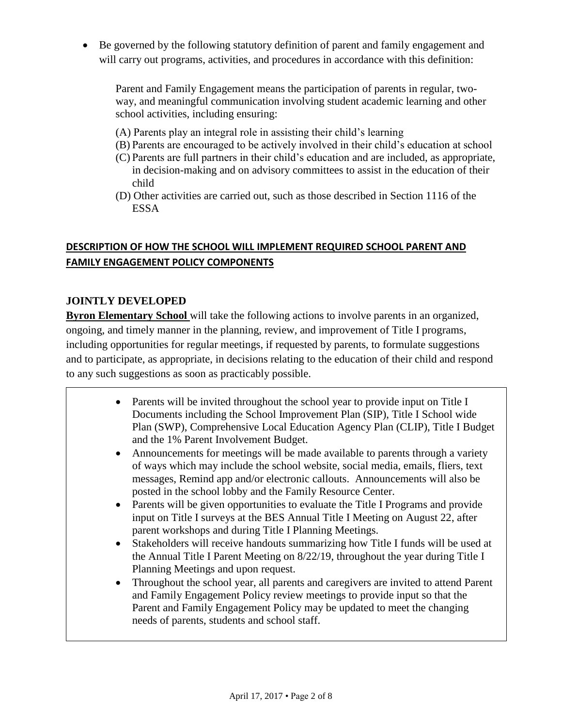Be governed by the following statutory definition of parent and family engagement and will carry out programs, activities, and procedures in accordance with this definition:

Parent and Family Engagement means the participation of parents in regular, twoway, and meaningful communication involving student academic learning and other school activities, including ensuring:

- (A) Parents play an integral role in assisting their child's learning
- (B) Parents are encouraged to be actively involved in their child's education at school
- (C) Parents are full partners in their child's education and are included, as appropriate, in decision-making and on advisory committees to assist in the education of their child
- (D) Other activities are carried out, such as those described in Section 1116 of the ESSA

## **DESCRIPTION OF HOW THE SCHOOL WILL IMPLEMENT REQUIRED SCHOOL PARENT AND FAMILY ENGAGEMENT POLICY COMPONENTS**

### **JOINTLY DEVELOPED**

**Byron Elementary School** will take the following actions to involve parents in an organized, ongoing, and timely manner in the planning, review, and improvement of Title I programs, including opportunities for regular meetings, if requested by parents, to formulate suggestions and to participate, as appropriate, in decisions relating to the education of their child and respond to any such suggestions as soon as practicably possible.

- Parents will be invited throughout the school year to provide input on Title I Documents including the School Improvement Plan (SIP), Title I School wide Plan (SWP), Comprehensive Local Education Agency Plan (CLIP), Title I Budget and the 1% Parent Involvement Budget.
- Announcements for meetings will be made available to parents through a variety of ways which may include the school website, social media, emails, fliers, text messages, Remind app and/or electronic callouts. Announcements will also be posted in the school lobby and the Family Resource Center.
- Parents will be given opportunities to evaluate the Title I Programs and provide input on Title I surveys at the BES Annual Title I Meeting on August 22, after parent workshops and during Title I Planning Meetings.
- Stakeholders will receive handouts summarizing how Title I funds will be used at the Annual Title I Parent Meeting on 8/22/19, throughout the year during Title I Planning Meetings and upon request.
- Throughout the school year, all parents and caregivers are invited to attend Parent and Family Engagement Policy review meetings to provide input so that the Parent and Family Engagement Policy may be updated to meet the changing needs of parents, students and school staff.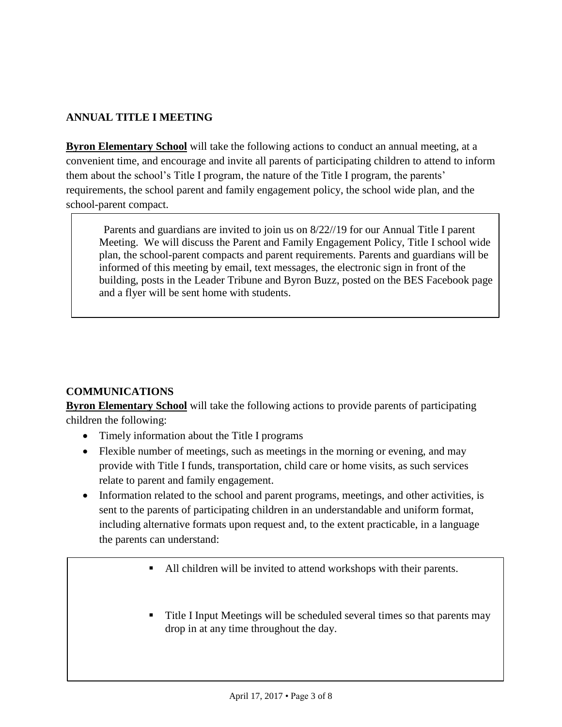# **ANNUAL TITLE I MEETING**

**Byron Elementary School** will take the following actions to conduct an annual meeting, at a convenient time, and encourage and invite all parents of participating children to attend to inform them about the school's Title I program, the nature of the Title I program, the parents' requirements, the school parent and family engagement policy, the school wide plan, and the school-parent compact.

Parents and guardians are invited to join us on 8/22//19 for our Annual Title I parent Meeting. We will discuss the Parent and Family Engagement Policy, Title I school wide plan, the school-parent compacts and parent requirements. Parents and guardians will be informed of this meeting by email, text messages, the electronic sign in front of the building, posts in the Leader Tribune and Byron Buzz, posted on the BES Facebook page and a flyer will be sent home with students.

# **COMMUNICATIONS**

**Byron Elementary School** will take the following actions to provide parents of participating children the following:

- Timely information about the Title I programs
- Flexible number of meetings, such as meetings in the morning or evening, and may provide with Title I funds, transportation, child care or home visits, as such services relate to parent and family engagement.
- Information related to the school and parent programs, meetings, and other activities, is sent to the parents of participating children in an understandable and uniform format, including alternative formats upon request and, to the extent practicable, in a language the parents can understand:
	- All children will be invited to attend workshops with their parents.
	- Title I Input Meetings will be scheduled several times so that parents may drop in at any time throughout the day.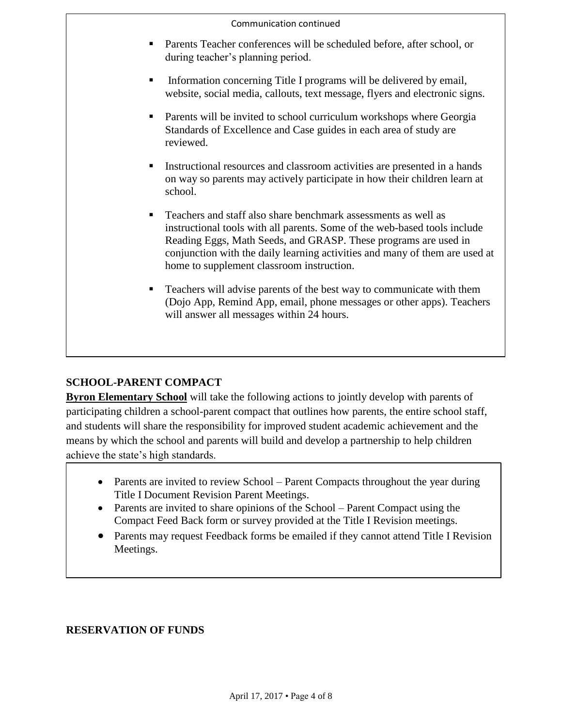#### Communication continued

- Parents Teacher conferences will be scheduled before, after school, or during teacher's planning period.
- Information concerning Title I programs will be delivered by email, website, social media, callouts, text message, flyers and electronic signs.
- Parents will be invited to school curriculum workshops where Georgia Standards of Excellence and Case guides in each area of study are reviewed.
- Instructional resources and classroom activities are presented in a hands on way so parents may actively participate in how their children learn at school.
- Teachers and staff also share benchmark assessments as well as instructional tools with all parents. Some of the web-based tools include Reading Eggs, Math Seeds, and GRASP. These programs are used in conjunction with the daily learning activities and many of them are used at home to supplement classroom instruction.
- Teachers will advise parents of the best way to communicate with them (Dojo App, Remind App, email, phone messages or other apps). Teachers will answer all messages within 24 hours.

### **SCHOOL-PARENT COMPACT**

**Byron Elementary School** will take the following actions to jointly develop with parents of participating children a school-parent compact that outlines how parents, the entire school staff, and students will share the responsibility for improved student academic achievement and the means by which the school and parents will build and develop a partnership to help children achieve the state's high standards.

- Parents are invited to review School Parent Compacts throughout the year during Title I Document Revision Parent Meetings.
- Parents are invited to share opinions of the School Parent Compact using the Compact Feed Back form or survey provided at the Title I Revision meetings.
- Parents may request Feedback forms be emailed if they cannot attend Title I Revision Meetings.

### **RESERVATION OF FUNDS**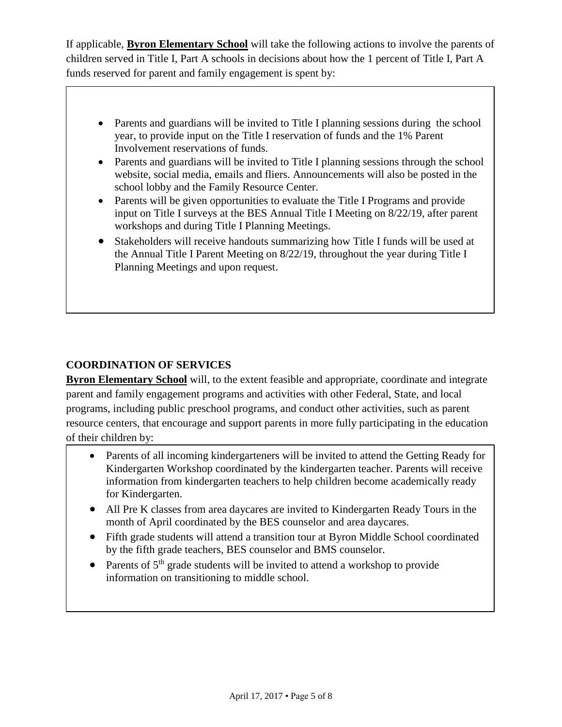If applicable, **Byron Elementary School** will take the following actions to involve the parents of children served in Title I, Part A schools in decisions about how the 1 percent of Title I, Part A funds reserved for parent and family engagement is spent by:

- Parents and guardians will be invited to Title I planning sessions during the school year, to provide input on the Title I reservation of funds and the 1% Parent Involvement reservations of funds.
- Parents and guardians will be invited to Title I planning sessions through the school website, social media, emails and fliers. Announcements will also be posted in the school lobby and the Family Resource Center.
- Parents will be given opportunities to evaluate the Title I Programs and provide input on Title I surveys at the BES Annual Title I Meeting on 8/22/19, after parent workshops and during Title I Planning Meetings.
- Stakeholders will receive handouts summarizing how Title I funds will be used at the Annual Title I Parent Meeting on 8/22/19, throughout the year during Title I Planning Meetings and upon request.

### **COORDINATION OF SERVICES**

**Byron Elementary School** will, to the extent feasible and appropriate, coordinate and integrate parent and family engagement programs and activities with other Federal, State, and local programs, including public preschool programs, and conduct other activities, such as parent resource centers, that encourage and support parents in more fully participating in the education of their children by:

- Parents of all incoming kindergarteners will be invited to attend the Getting Ready for Kindergarten Workshop coordinated by the kindergarten teacher. Parents will receive information from kindergarten teachers to help children become academically ready for Kindergarten.
- All Pre K classes from area daycares are invited to Kindergarten Ready Tours in the month of April coordinated by the BES counselor and area daycares.
- Fifth grade students will attend a transition tour at Byron Middle School coordinated by the fifth grade teachers, BES counselor and BMS counselor.
- Parents of  $5<sup>th</sup>$  grade students will be invited to attend a workshop to provide information on transitioning to middle school.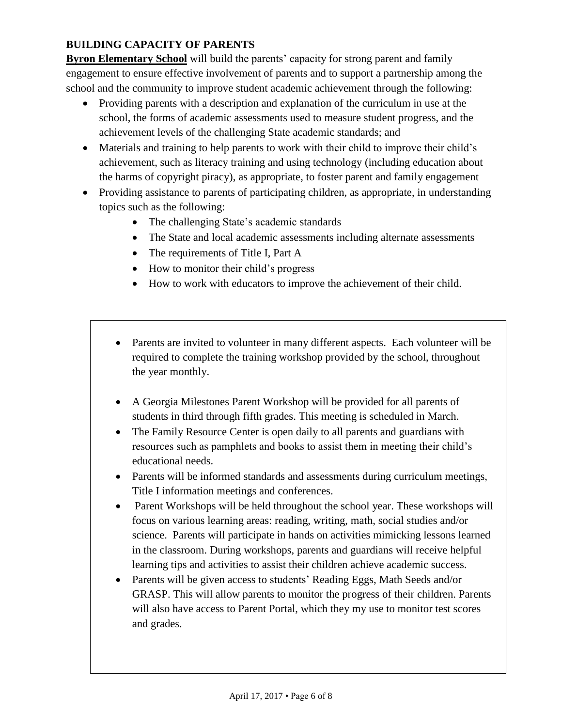## **BUILDING CAPACITY OF PARENTS**

**Byron Elementary School** will build the parents' capacity for strong parent and family engagement to ensure effective involvement of parents and to support a partnership among the school and the community to improve student academic achievement through the following:

- Providing parents with a description and explanation of the curriculum in use at the school, the forms of academic assessments used to measure student progress, and the achievement levels of the challenging State academic standards; and
- Materials and training to help parents to work with their child to improve their child's achievement, such as literacy training and using technology (including education about the harms of copyright piracy), as appropriate, to foster parent and family engagement
- Providing assistance to parents of participating children, as appropriate, in understanding topics such as the following:
	- The challenging State's academic standards
	- The State and local academic assessments including alternate assessments
	- The requirements of Title I, Part A
	- How to monitor their child's progress
	- How to work with educators to improve the achievement of their child.
	- Parents are invited to volunteer in many different aspects. Each volunteer will be required to complete the training workshop provided by the school, throughout the year monthly.
	- A Georgia Milestones Parent Workshop will be provided for all parents of students in third through fifth grades. This meeting is scheduled in March.
	- The Family Resource Center is open daily to all parents and guardians with resources such as pamphlets and books to assist them in meeting their child's educational needs.
	- Parents will be informed standards and assessments during curriculum meetings, Title I information meetings and conferences.
	- Parent Workshops will be held throughout the school year. These workshops will focus on various learning areas: reading, writing, math, social studies and/or science. Parents will participate in hands on activities mimicking lessons learned in the classroom. During workshops, parents and guardians will receive helpful learning tips and activities to assist their children achieve academic success.
	- Parents will be given access to students' Reading Eggs, Math Seeds and/or GRASP. This will allow parents to monitor the progress of their children. Parents will also have access to Parent Portal, which they my use to monitor test scores and grades.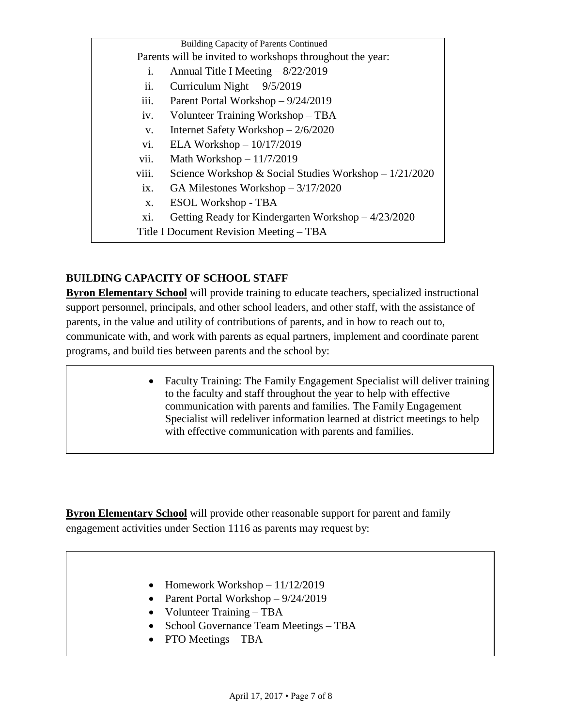Building Capacity of Parents Continued Parents will be invited to workshops throughout the year: i. Annual Title I Meeting – 8/22/2019 ii. Curriculum Night – 9/5/2019 iii. Parent Portal Workshop – 9/24/2019 iv. Volunteer Training Workshop – TBA v. Internet Safety Workshop – 2/6/2020 vi. ELA Workshop – 10/17/2019 vii. Math Workshop – 11/7/2019 viii. Science Workshop  $& Social Studies Workshop - 1/21/2020$ ix. GA Milestones Workshop – 3/17/2020 x. ESOL Workshop - TBA xi. Getting Ready for Kindergarten Workshop – 4/23/2020 Title I Document Revision Meeting – TBA

### **BUILDING CAPACITY OF SCHOOL STAFF**

**Byron Elementary School** will provide training to educate teachers, specialized instructional support personnel, principals, and other school leaders, and other staff, with the assistance of parents, in the value and utility of contributions of parents, and in how to reach out to, communicate with, and work with parents as equal partners, implement and coordinate parent programs, and build ties between parents and the school by:

> Faculty Training: The Family Engagement Specialist will deliver training to the faculty and staff throughout the year to help with effective communication with parents and families. The Family Engagement Specialist will redeliver information learned at district meetings to help with effective communication with parents and families.

**Byron Elementary School** will provide other reasonable support for parent and family engagement activities under Section 1116 as parents may request by:

- Homework Workshop  $-11/12/2019$
- Parent Portal Workshop  $-9/24/2019$
- Volunteer Training TBA
- School Governance Team Meetings TBA
- PTO Meetings TBA